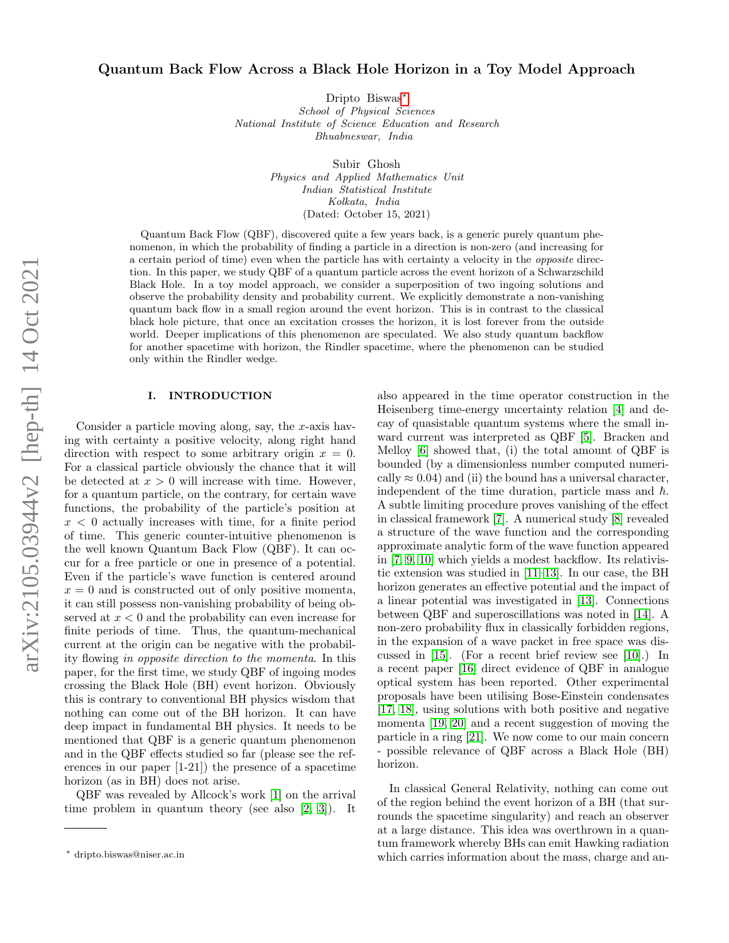# Quantum Back Flow Across a Black Hole Horizon in a Toy Model Approach

Dripto Biswas[∗](#page-0-0) School of Physical Sciences National Institute of Science Education and Research Bhuabneswar, India

> Subir Ghosh Physics and Applied Mathematics Unit Indian Statistical Institute Kolkata, India (Dated: October 15, 2021)

Quantum Back Flow (QBF), discovered quite a few years back, is a generic purely quantum phenomenon, in which the probability of finding a particle in a direction is non-zero (and increasing for a certain period of time) even when the particle has with certainty a velocity in the opposite direction. In this paper, we study QBF of a quantum particle across the event horizon of a Schwarzschild Black Hole. In a toy model approach, we consider a superposition of two ingoing solutions and observe the probability density and probability current. We explicitly demonstrate a non-vanishing quantum back flow in a small region around the event horizon. This is in contrast to the classical black hole picture, that once an excitation crosses the horizon, it is lost forever from the outside world. Deeper implications of this phenomenon are speculated. We also study quantum backflow for another spacetime with horizon, the Rindler spacetime, where the phenomenon can be studied only within the Rindler wedge.

#### I. INTRODUCTION

Consider a particle moving along, say, the  $x$ -axis having with certainty a positive velocity, along right hand direction with respect to some arbitrary origin  $x = 0$ . For a classical particle obviously the chance that it will be detected at  $x > 0$  will increase with time. However, for a quantum particle, on the contrary, for certain wave functions, the probability of the particle's position at  $x < 0$  actually increases with time, for a finite period of time. This generic counter-intuitive phenomenon is the well known Quantum Back Flow (QBF). It can occur for a free particle or one in presence of a potential. Even if the particle's wave function is centered around  $x = 0$  and is constructed out of only positive momenta, it can still possess non-vanishing probability of being observed at  $x < 0$  and the probability can even increase for finite periods of time. Thus, the quantum-mechanical current at the origin can be negative with the probability flowing in opposite direction to the momenta. In this paper, for the first time, we study QBF of ingoing modes crossing the Black Hole (BH) event horizon. Obviously this is contrary to conventional BH physics wisdom that nothing can come out of the BH horizon. It can have deep impact in fundamental BH physics. It needs to be mentioned that QBF is a generic quantum phenomenon and in the QBF effects studied so far (please see the references in our paper [1-21]) the presence of a spacetime horizon (as in BH) does not arise.

QBF was revealed by Allcock's work [\[1\]](#page-9-0) on the arrival time problem in quantum theory (see also [\[2,](#page-9-1) [3\]](#page-9-2)). It

also appeared in the time operator construction in the Heisenberg time-energy uncertainty relation [\[4\]](#page-9-3) and decay of quasistable quantum systems where the small inward current was interpreted as QBF [\[5\]](#page-9-4). Bracken and Melloy [\[6\]](#page-9-5) showed that, (i) the total amount of QBF is bounded (by a dimensionless number computed numerically  $\approx 0.04$ ) and (ii) the bound has a universal character, independent of the time duration, particle mass and  $\hbar$ . A subtle limiting procedure proves vanishing of the effect in classical framework [\[7\]](#page-9-6). A numerical study [\[8\]](#page-9-7) revealed a structure of the wave function and the corresponding approximate analytic form of the wave function appeared in [\[7,](#page-9-6) [9,](#page-9-8) [10\]](#page-9-9) which yields a modest backflow. Its relativistic extension was studied in [\[11–](#page-9-10)[13\]](#page-9-11). In our case, the BH horizon generates an effective potential and the impact of a linear potential was investigated in [\[13\]](#page-9-11). Connections between QBF and superoscillations was noted in [\[14\]](#page-9-12). A non-zero probability flux in classically forbidden regions, in the expansion of a wave packet in free space was discussed in [\[15\]](#page-9-13). (For a recent brief review see [\[10\]](#page-9-9).) In a recent paper [\[16\]](#page-9-14) direct evidence of QBF in analogue optical system has been reported. Other experimental proposals have been utilising Bose-Einstein condensates [\[17,](#page-9-15) [18\]](#page-9-16), using solutions with both positive and negative momenta [\[19,](#page-9-17) [20\]](#page-9-18) and a recent suggestion of moving the particle in a ring [\[21\]](#page-9-19). We now come to our main concern - possible relevance of QBF across a Black Hole (BH) horizon.

In classical General Relativity, nothing can come out of the region behind the event horizon of a BH (that surrounds the spacetime singularity) and reach an observer at a large distance. This idea was overthrown in a quantum framework whereby BHs can emit Hawking radiation which carries information about the mass, charge and an-

<span id="page-0-0"></span><sup>∗</sup> dripto.biswas@niser.ac.in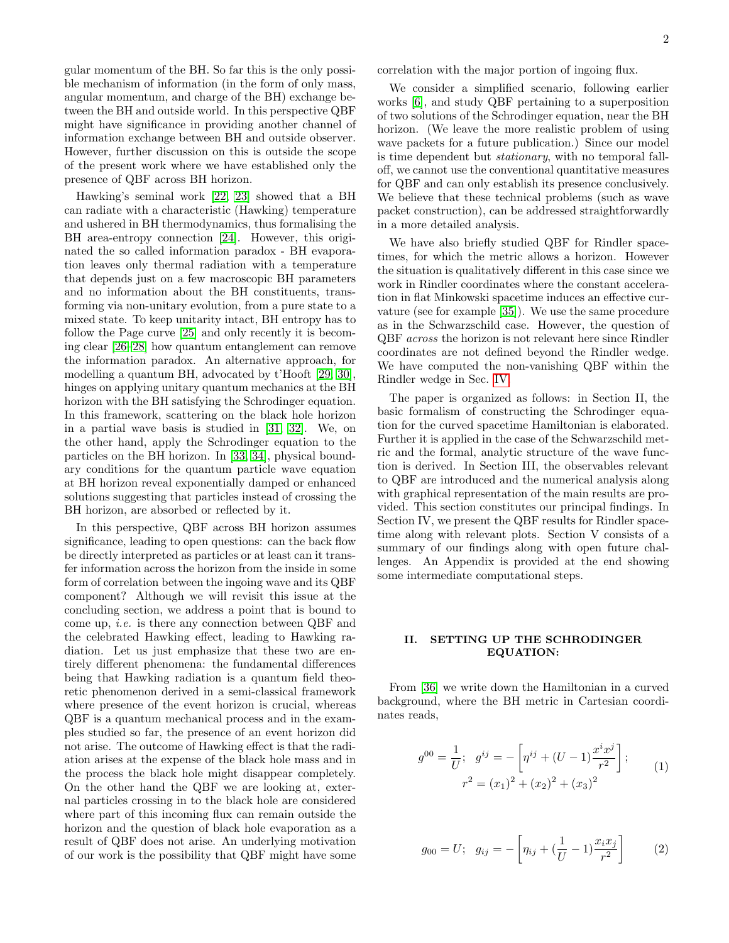gular momentum of the BH. So far this is the only possible mechanism of information (in the form of only mass, angular momentum, and charge of the BH) exchange between the BH and outside world. In this perspective QBF might have significance in providing another channel of information exchange between BH and outside observer. However, further discussion on this is outside the scope of the present work where we have established only the presence of QBF across BH horizon.

Hawking's seminal work [\[22,](#page-9-20) [23\]](#page-9-21) showed that a BH can radiate with a characteristic (Hawking) temperature and ushered in BH thermodynamics, thus formalising the BH area-entropy connection [\[24\]](#page-9-22). However, this originated the so called information paradox - BH evaporation leaves only thermal radiation with a temperature that depends just on a few macroscopic BH parameters and no information about the BH constituents, transforming via non-unitary evolution, from a pure state to a mixed state. To keep unitarity intact, BH entropy has to follow the Page curve [\[25\]](#page-9-23) and only recently it is becoming clear [\[26](#page-9-24)[–28\]](#page-9-25) how quantum entanglement can remove the information paradox. An alternative approach, for modelling a quantum BH, advocated by t'Hooft [\[29,](#page-9-26) [30\]](#page-9-27), hinges on applying unitary quantum mechanics at the BH horizon with the BH satisfying the Schrodinger equation. In this framework, scattering on the black hole horizon in a partial wave basis is studied in [\[31,](#page-9-28) [32\]](#page-9-29). We, on the other hand, apply the Schrodinger equation to the particles on the BH horizon. In [\[33,](#page-9-30) [34\]](#page-9-31), physical boundary conditions for the quantum particle wave equation at BH horizon reveal exponentially damped or enhanced solutions suggesting that particles instead of crossing the BH horizon, are absorbed or reflected by it.

In this perspective, QBF across BH horizon assumes significance, leading to open questions: can the back flow be directly interpreted as particles or at least can it transfer information across the horizon from the inside in some form of correlation between the ingoing wave and its QBF component? Although we will revisit this issue at the concluding section, we address a point that is bound to come up, i.e. is there any connection between QBF and the celebrated Hawking effect, leading to Hawking radiation. Let us just emphasize that these two are entirely different phenomena: the fundamental differences being that Hawking radiation is a quantum field theoretic phenomenon derived in a semi-classical framework where presence of the event horizon is crucial, whereas QBF is a quantum mechanical process and in the examples studied so far, the presence of an event horizon did not arise. The outcome of Hawking effect is that the radiation arises at the expense of the black hole mass and in the process the black hole might disappear completely. On the other hand the QBF we are looking at, external particles crossing in to the black hole are considered where part of this incoming flux can remain outside the horizon and the question of black hole evaporation as a result of QBF does not arise. An underlying motivation of our work is the possibility that QBF might have some

correlation with the major portion of ingoing flux.

We consider a simplified scenario, following earlier works [\[6\]](#page-9-5), and study QBF pertaining to a superposition of two solutions of the Schrodinger equation, near the BH horizon. (We leave the more realistic problem of using wave packets for a future publication.) Since our model is time dependent but stationary, with no temporal falloff, we cannot use the conventional quantitative measures for QBF and can only establish its presence conclusively. We believe that these technical problems (such as wave packet construction), can be addressed straightforwardly in a more detailed analysis.

We have also briefly studied QBF for Rindler spacetimes, for which the metric allows a horizon. However the situation is qualitatively different in this case since we work in Rindler coordinates where the constant acceleration in flat Minkowski spacetime induces an effective curvature (see for example [\[35\]](#page-9-32)). We use the same procedure as in the Schwarzschild case. However, the question of QBF across the horizon is not relevant here since Rindler coordinates are not defined beyond the Rindler wedge. We have computed the non-vanishing QBF within the Rindler wedge in Sec. [IV.](#page-6-0)

The paper is organized as follows: in Section II, the basic formalism of constructing the Schrodinger equation for the curved spacetime Hamiltonian is elaborated. Further it is applied in the case of the Schwarzschild metric and the formal, analytic structure of the wave function is derived. In Section III, the observables relevant to QBF are introduced and the numerical analysis along with graphical representation of the main results are provided. This section constitutes our principal findings. In Section IV, we present the QBF results for Rindler spacetime along with relevant plots. Section V consists of a summary of our findings along with open future challenges. An Appendix is provided at the end showing some intermediate computational steps.

## II. SETTING UP THE SCHRODINGER EQUATION:

From [\[36\]](#page-9-33) we write down the Hamiltonian in a curved background, where the BH metric in Cartesian coordinates reads,

$$
g^{00} = \frac{1}{U}; \quad g^{ij} = -\left[\eta^{ij} + (U - 1)\frac{x^i x^j}{r^2}\right];
$$
  

$$
r^2 = (x_1)^2 + (x_2)^2 + (x_3)^2
$$
 (1)

$$
g_{00} = U; \quad g_{ij} = -\left[\eta_{ij} + \left(\frac{1}{U} - 1\right)\frac{x_i x_j}{r^2}\right] \tag{2}
$$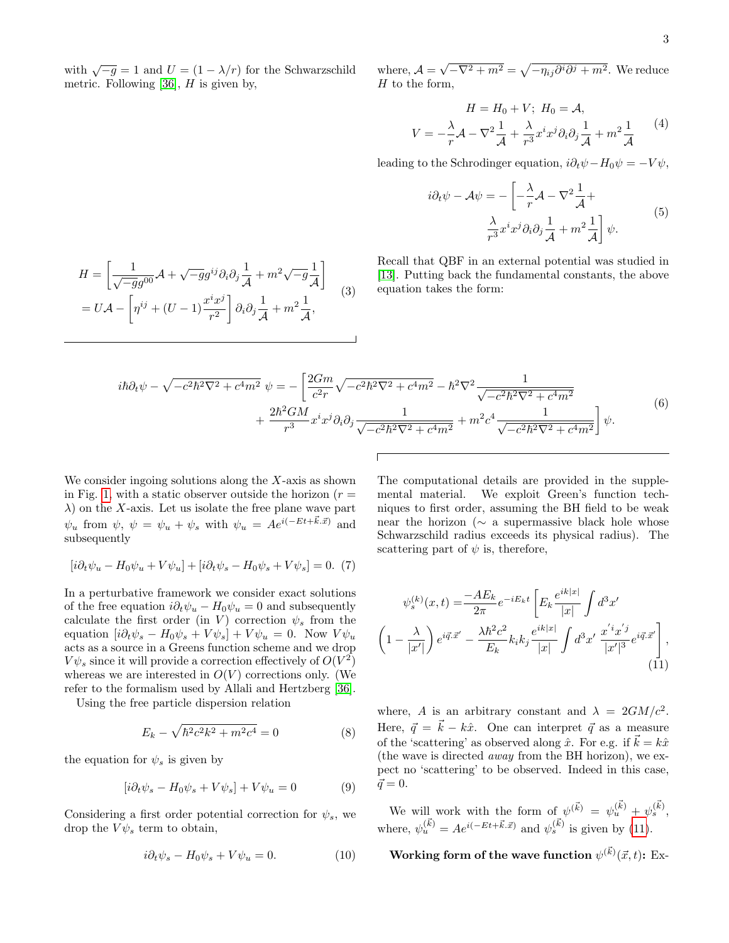with  $\sqrt{-g} = 1$  and  $U = (1 - \lambda/r)$  for the Schwarzschild metric. Following [\[36\]](#page-9-33),  $H$  is given by,

 $\frac{1}{\mathcal{A}} + m^2 \sqrt{-g} \frac{1}{\mathcal{A}}$ 

 $\frac{1}{\mathcal{A}} + m^2 \frac{1}{\mathcal{A}}$ 

 $\mathcal{A}$ 1

(3)

 $\frac{1}{\mathcal{A}},$ 

 $H = \bigg[ \frac{1}{\sqrt{-g}g^{00}} {\cal A} + \sqrt{-g} g^{ij} \partial_i \partial_j \frac{1}{{\cal A}}$ 

 $= U \mathcal{A} - \left[ \eta^{ij} + (U - 1) \frac{x^i x^j}{2} \right]$ 

where,  $\mathcal{A} =$  $\sqrt{-\nabla^2 + m^2} = \sqrt{-\eta_{ij}\partial^i\partial^j + m^2}$ . We reduce  $H$  to the form,

$$
H = H_0 + V; H_0 = A,
$$
  

$$
V = -\frac{\lambda}{r}A - \nabla^2 \frac{1}{A} + \frac{\lambda}{r^3} x^i x^j \partial_i \partial_j \frac{1}{A} + m^2 \frac{1}{A}
$$
 (4)

leading to the Schrodinger equation,  $i\partial_t \psi - H_0 \psi = -V \psi$ ,

$$
i\partial_t \psi - A\psi = -\left[ -\frac{\lambda}{r} \mathcal{A} - \nabla^2 \frac{1}{\mathcal{A}} + \frac{\lambda}{r^3} x^i x^j \partial_i \partial_j \frac{1}{\mathcal{A}} + m^2 \frac{1}{\mathcal{A}} \right] \psi.
$$
 (5)

Recall that QBF in an external potential was studied in [\[13\]](#page-9-11). Putting back the fundamental constants, the above equation takes the form:

$$
i\hbar\partial_t\psi - \sqrt{-c^2\hbar^2\nabla^2 + c^4m^2} \psi = -\left[\frac{2Gm}{c^2r}\sqrt{-c^2\hbar^2\nabla^2 + c^4m^2} - \hbar^2\nabla^2\frac{1}{\sqrt{-c^2\hbar^2\nabla^2 + c^4m^2}} + \frac{2\hbar^2GM}{r^3}x^ix^j\partial_i\partial_j\frac{1}{\sqrt{-c^2\hbar^2\nabla^2 + c^4m^2}} + m^2c^4\frac{1}{\sqrt{-c^2\hbar^2\nabla^2 + c^4m^2}}\right]\psi.
$$
\n(6)

We consider ingoing solutions along the  $X$ -axis as shown in Fig. [1,](#page-3-0) with a static observer outside the horizon  $(r =$  $\lambda$ ) on the X-axis. Let us isolate the free plane wave part  $\psi_u$  from  $\psi$ ,  $\psi = \psi_u + \psi_s$  with  $\psi_u = Ae^{i(-Et + \vec{k} \cdot \vec{x})}$  and subsequently

 $r^2$ 

 $\Big] \partial_i \partial_j \frac{1}{\overline{\phantom{a}}}$ 

$$
[i\partial_t \psi_u - H_0 \psi_u + V\psi_u] + [i\partial_t \psi_s - H_0 \psi_s + V\psi_s] = 0.
$$
 (7)

In a perturbative framework we consider exact solutions of the free equation  $i\partial_t \psi_u - H_0 \psi_u = 0$  and subsequently calculate the first order (in V) correction  $\psi_s$  from the equation  $[i\partial_t\psi_s - H_0\psi_s + V\psi_s] + V\psi_u = 0$ . Now  $V\psi_u$ acts as a source in a Greens function scheme and we drop  $V\psi_s$  since it will provide a correction effectively of  $O(V^2)$ whereas we are interested in  $O(V)$  corrections only. (We refer to the formalism used by Allali and Hertzberg [\[36\]](#page-9-33).

Using the free particle dispersion relation

$$
E_k - \sqrt{\hbar^2 c^2 k^2 + m^2 c^4} = 0
$$
 (8)

the equation for  $\psi_s$  is given by

$$
[i\partial_t \psi_s - H_0 \psi_s + V \psi_s] + V \psi_u = 0 \tag{9}
$$

Considering a first order potential correction for  $\psi_s$ , we drop the  $V\psi_s$  term to obtain,

$$
i\partial_t \psi_s - H_0 \psi_s + V \psi_u = 0. \tag{10}
$$

The computational details are provided in the supplemental material. We exploit Green's function techniques to first order, assuming the BH field to be weak near the horizon (∼ a supermassive black hole whose Schwarzschild radius exceeds its physical radius). The scattering part of  $\psi$  is, therefore,

<span id="page-2-0"></span>
$$
\psi_s^{(k)}(x,t) = \frac{-AE_k}{2\pi} e^{-iE_k t} \left[ E_k \frac{e^{ik|x|}}{|x|} \int d^3 x' \right]
$$

$$
\left( 1 - \frac{\lambda}{|x'|} \right) e^{i\vec{q}.\vec{x}'} - \frac{\lambda \hbar^2 c^2}{E_k} k_i k_j \frac{e^{ik|x|}}{|x|} \int d^3 x' \frac{x'^i x'^j}{|x'|^3} e^{i\vec{q}.\vec{x}'} \right],
$$
(11)

where, A is an arbitrary constant and  $\lambda = 2GM/c^2$ . Here,  $\vec{q} = \vec{k} - k\hat{x}$ . One can interpret  $\vec{q}$  as a measure of the 'scattering' as observed along  $\hat{x}$ . For e.g. if  $\vec{k} = k\hat{x}$ (the wave is directed away from the BH horizon), we expect no 'scattering' to be observed. Indeed in this case,  $\vec{q} = 0.$ 

We will work with the form of  $\psi^{(\vec{k})} = \psi_u^{(\vec{k})} + \psi_s^{(\vec{k})}$ , where,  $\psi_u^{(\vec{k})} = Ae^{i(-Et+\vec{k}.\vec{x})}$  and  $\psi_s^{(\vec{k})}$  is given by [\(11\)](#page-2-0).

Working form of the wave function  $\psi^{(\vec{k})}(\vec{x},t)$ : Ex-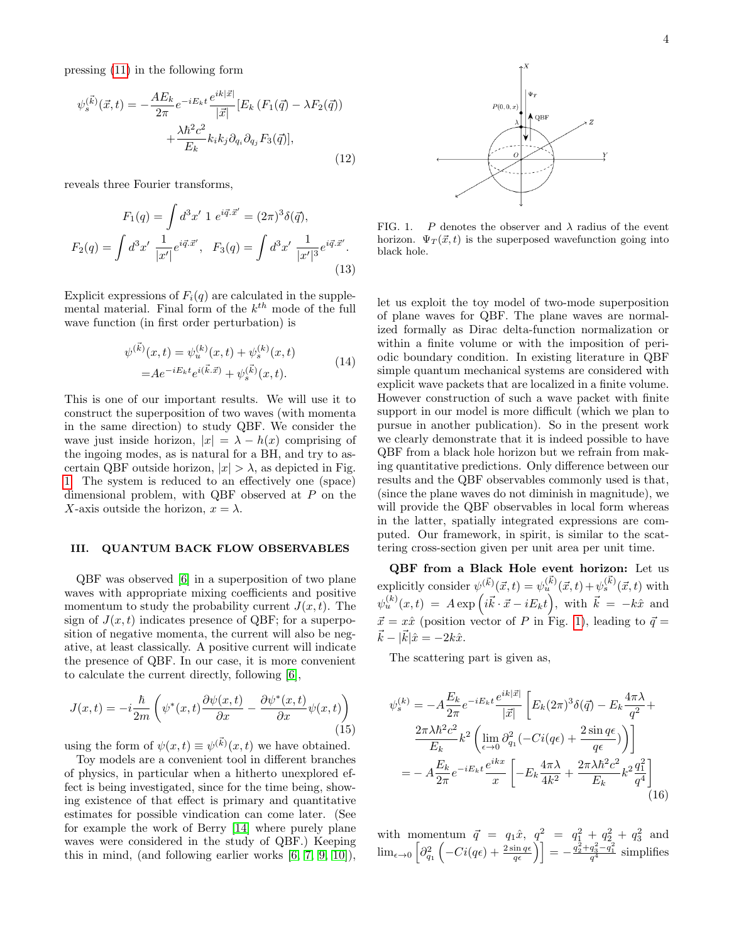pressing [\(11\)](#page-2-0) in the following form

$$
\psi_s^{(\vec{k})}(\vec{x},t) = -\frac{AE_k}{2\pi}e^{-iE_kt}\frac{e^{ik|\vec{x}|}}{|\vec{x}|}[E_k(F_1(\vec{q}) - \lambda F_2(\vec{q}))
$$

$$
+ \frac{\lambda\hbar^2c^2}{E_k}k_ik_j\partial_{q_i}\partial_{q_j}F_3(\vec{q})],
$$
\n(12)

reveals three Fourier transforms,

$$
F_1(q) = \int d^3x' \ 1 \ e^{i\vec{q}.\vec{x}'} = (2\pi)^3 \delta(\vec{q}),
$$
  

$$
F_2(q) = \int d^3x' \ \frac{1}{|x'|} e^{i\vec{q}.\vec{x}'}, \quad F_3(q) = \int d^3x' \ \frac{1}{|x'|^3} e^{i\vec{q}.\vec{x}'}. \tag{13}
$$

Explicit expressions of  $F_i(q)$  are calculated in the supplemental material. Final form of the  $k^{th}$  mode of the full wave function (in first order perturbation) is

$$
\psi^{(\vec{k})}(x,t) = \psi_u^{(k)}(x,t) + \psi_s^{(k)}(x,t)
$$
  
=  $Ae^{-iE_kt}e^{i(\vec{k}.\vec{x})} + \psi_s^{(\vec{k})}(x,t).$  (14)

<span id="page-3-1"></span>This is one of our important results. We will use it to construct the superposition of two waves (with momenta in the same direction) to study QBF. We consider the wave just inside horizon,  $|x| = \lambda - h(x)$  comprising of the ingoing modes, as is natural for a BH, and try to ascertain QBF outside horizon,  $|x| > \lambda$ , as depicted in Fig. [1.](#page-3-0) The system is reduced to an effectively one (space) dimensional problem, with QBF observed at P on the X-axis outside the horizon,  $x = \lambda$ .

#### III. QUANTUM BACK FLOW OBSERVABLES

QBF was observed [\[6\]](#page-9-5) in a superposition of two plane waves with appropriate mixing coefficients and positive momentum to study the probability current  $J(x, t)$ . The sign of  $J(x, t)$  indicates presence of QBF; for a superposition of negative momenta, the current will also be negative, at least classically. A positive current will indicate the presence of QBF. In our case, it is more convenient to calculate the current directly, following [\[6\]](#page-9-5),

$$
J(x,t) = -i\frac{\hbar}{2m} \left( \psi^*(x,t) \frac{\partial \psi(x,t)}{\partial x} - \frac{\partial \psi^*(x,t)}{\partial x} \psi(x,t) \right)
$$
(15)

using the form of  $\psi(x,t) \equiv \psi^{(\vec{k})}(x,t)$  we have obtained.

Toy models are a convenient tool in different branches of physics, in particular when a hitherto unexplored effect is being investigated, since for the time being, showing existence of that effect is primary and quantitative estimates for possible vindication can come later. (See for example the work of Berry [\[14\]](#page-9-12) where purely plane waves were considered in the study of QBF.) Keeping this in mind, (and following earlier works [\[6,](#page-9-5) [7,](#page-9-6) [9,](#page-9-8) [10\]](#page-9-9)),



<span id="page-3-0"></span>FIG. 1. P denotes the observer and  $\lambda$  radius of the event horizon.  $\Psi_T(\vec{x}, t)$  is the superposed wavefunction going into black hole.

let us exploit the toy model of two-mode superposition of plane waves for QBF. The plane waves are normalized formally as Dirac delta-function normalization or within a finite volume or with the imposition of periodic boundary condition. In existing literature in QBF simple quantum mechanical systems are considered with explicit wave packets that are localized in a finite volume. However construction of such a wave packet with finite support in our model is more difficult (which we plan to pursue in another publication). So in the present work we clearly demonstrate that it is indeed possible to have QBF from a black hole horizon but we refrain from making quantitative predictions. Only difference between our results and the QBF observables commonly used is that, (since the plane waves do not diminish in magnitude), we will provide the QBF observables in local form whereas in the latter, spatially integrated expressions are computed. Our framework, in spirit, is similar to the scattering cross-section given per unit area per unit time.

QBF from a Black Hole event horizon: Let us explicitly consider  $\psi^{(\vec{k})}(\vec{x},t) = \psi_u^{(\vec{k})}(\vec{x},t) + \psi_s^{(\vec{k})}(\vec{x},t)$  with  $\psi_u^{(k)}(x,t) = A \exp\left(i\vec{k}\cdot\vec{x} - iE_kt\right)$ , with  $\vec{k} = -k\hat{x}$  and  $\vec{x} = x\hat{x}$  (position vector of P in Fig. [1\)](#page-3-0), leading to  $\vec{q} =$  $\vec{k} - |\vec{k}| \hat{x} = -2k\hat{x}.$ 

The scattering part is given as,

$$
\psi_s^{(k)} = -A \frac{E_k}{2\pi} e^{-iE_k t} \frac{e^{ik|\vec{x}|}}{|\vec{x}|} \left[ E_k (2\pi)^3 \delta(\vec{q}) - E_k \frac{4\pi\lambda}{q^2} + \frac{2\pi\lambda \hbar^2 c^2}{E_k} k^2 \left( \lim_{\epsilon \to 0} \partial_{q_1}^2 (-Ci(q\epsilon) + \frac{2\sin q\epsilon}{q\epsilon}) \right) \right]
$$
  
= 
$$
-A \frac{E_k}{2\pi} e^{-iE_k t} \frac{e^{ikx}}{x} \left[ -E_k \frac{4\pi\lambda}{4k^2} + \frac{2\pi\lambda \hbar^2 c^2}{E_k} k^2 \frac{q_1^2}{q^4} \right]
$$
(16)

with momentum  $\vec{q} = q_1 \hat{x}$ ,  $q_1^2 = q_1^2 + q_2^2 + q_3^2$  and  $\lim_{\epsilon\to 0} \left[ \partial_{q_1}^2 \left( -Ci(q\epsilon) + \frac{2\sin q\epsilon}{q\epsilon} \right) \right] = -\frac{q_2^2 + q_3^2 - q_1^2}{q^4}$  simplifies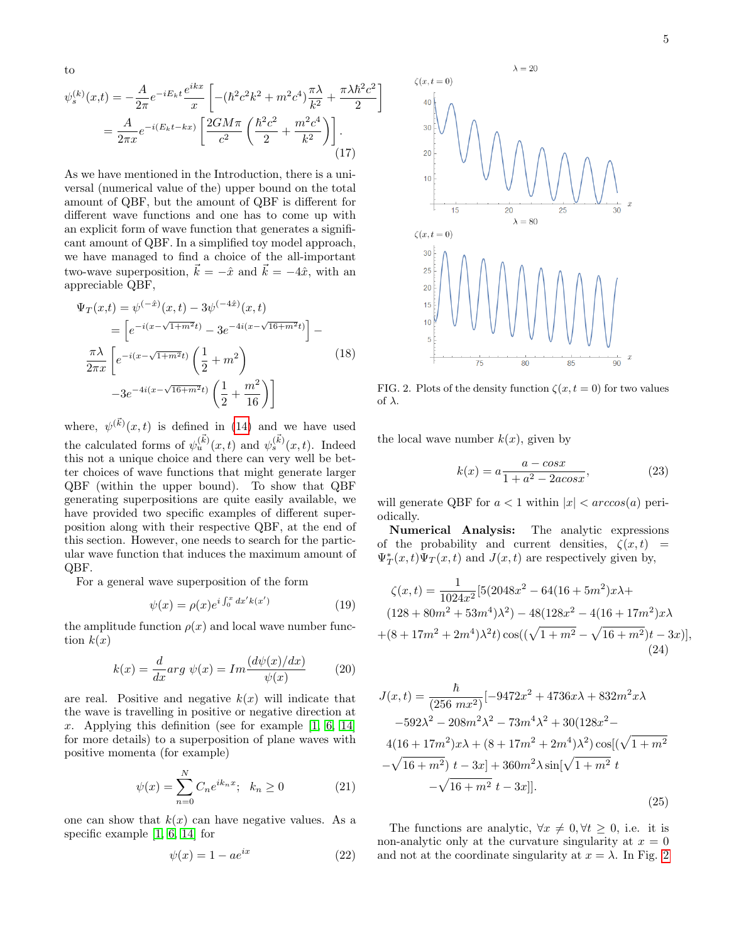to

<span id="page-4-1"></span>
$$
\psi_s^{(k)}(x,t) = -\frac{A}{2\pi} e^{-iE_k t} \frac{e^{ikx}}{x} \left[ -(\hbar^2 c^2 k^2 + m^2 c^4) \frac{\pi \lambda}{k^2} + \frac{\pi \lambda \hbar^2 c^2}{2} \right]
$$

$$
= \frac{A}{2\pi x} e^{-i(E_k t - kx)} \left[ \frac{2GM\pi}{c^2} \left( \frac{\hbar^2 c^2}{2} + \frac{m^2 c^4}{k^2} \right) \right].
$$
(17)

As we have mentioned in the Introduction, there is a universal (numerical value of the) upper bound on the total amount of QBF, but the amount of QBF is different for different wave functions and one has to come up with an explicit form of wave function that generates a significant amount of QBF. In a simplified toy model approach, we have managed to find a choice of the all-important two-wave superposition,  $\vec{k} = -\hat{x}$  and  $\vec{k} = -4\hat{x}$ , with an appreciable QBF,

$$
\Psi_T(x,t) = \psi^{(-\hat{x})}(x,t) - 3\psi^{(-4\hat{x})}(x,t)
$$
\n
$$
= \left[ e^{-i(x-\sqrt{1+m^2}t)} - 3e^{-4i(x-\sqrt{16+m^2}t)} \right] - \frac{\pi\lambda}{2\pi x} \left[ e^{-i(x-\sqrt{1+m^2}t)} \left( \frac{1}{2} + m^2 \right) - 3e^{-4i(x-\sqrt{16+m^2}t)} \left( \frac{1}{2} + \frac{m^2}{16} \right) \right]
$$
\n(18)

where,  $\psi^{(\vec{k})}(x,t)$  is defined in [\(14\)](#page-3-1) and we have used the calculated forms of  $\psi_u^{(\vec{k})}(x,t)$  and  $\psi_s^{(\vec{k})}(x,t)$ . Indeed this not a unique choice and there can very well be better choices of wave functions that might generate larger QBF (within the upper bound). To show that QBF generating superpositions are quite easily available, we have provided two specific examples of different superposition along with their respective QBF, at the end of this section. However, one needs to search for the particular wave function that induces the maximum amount of QBF.

For a general wave superposition of the form

$$
\psi(x) = \rho(x)e^{i\int_0^x dx' k(x')}
$$
\n(19)

the amplitude function  $\rho(x)$  and local wave number function  $k(x)$ 

$$
k(x) = \frac{d}{dx} arg \psi(x) = Im \frac{(d\psi(x)/dx)}{\psi(x)}
$$
(20)

are real. Positive and negative  $k(x)$  will indicate that the wave is travelling in positive or negative direction at x. Applying this definition (see for example  $[1, 6, 14]$  $[1, 6, 14]$  $[1, 6, 14]$ ) for more details) to a superposition of plane waves with positive momenta (for example)

$$
\psi(x) = \sum_{n=0}^{N} C_n e^{ik_n x}; \quad k_n \ge 0
$$
 (21)

one can show that  $k(x)$  can have negative values. As a specific example [\[1,](#page-9-0) [6,](#page-9-5) [14\]](#page-9-12) for

$$
\psi(x) = 1 - a e^{ix} \tag{22}
$$



<span id="page-4-0"></span>FIG. 2. Plots of the density function  $\zeta(x,t=0)$  for two values of λ.

the local wave number  $k(x)$ , given by

$$
k(x) = a \frac{a - \cos x}{1 + a^2 - 2a \cos x},
$$
 (23)

will generate QBF for  $a < 1$  within  $|x| < arccos(a)$  periodically.

Numerical Analysis: The analytic expressions of the probability and current densities,  $\zeta(x,t)$  =  $\Psi_T^*(x,t)\Psi_T(x,t)$  and  $J(x,t)$  are respectively given by,

$$
\zeta(x,t) = \frac{1}{1024x^2} [5(2048x^2 - 64(16 + 5m^2)x\lambda + (128 + 80m^2 + 53m^4)\lambda^2) - 48(128x^2 - 4(16 + 17m^2)x\lambda + (8 + 17m^2 + 2m^4)\lambda^2 t) \cos((\sqrt{1 + m^2} - \sqrt{16 + m^2})t - 3x)],
$$
\n(24)

$$
J(x,t) = \frac{\hbar}{(256 \text{ m}x^2)} \left[ -9472x^2 + 4736x\lambda + 832m^2x\lambda \right.
$$
  
\n
$$
-592\lambda^2 - 208m^2\lambda^2 - 73m^4\lambda^2 + 30(128x^2 - 4(16 + 17m^2)x\lambda + (8 + 17m^2 + 2m^4)\lambda^2) \cos[(\sqrt{1 + m^2} - \sqrt{16 + m^2}) t - 3x] + 360m^2\lambda \sin[\sqrt{1 + m^2} t - \sqrt{16 + m^2} t - 3x]].
$$
  
\n(25)

The functions are analytic,  $\forall x \neq 0, \forall t \geq 0$ , i.e. it is non-analytic only at the curvature singularity at  $x = 0$ and not at the coordinate singularity at  $x = \lambda$ . In Fig. [2](#page-4-0)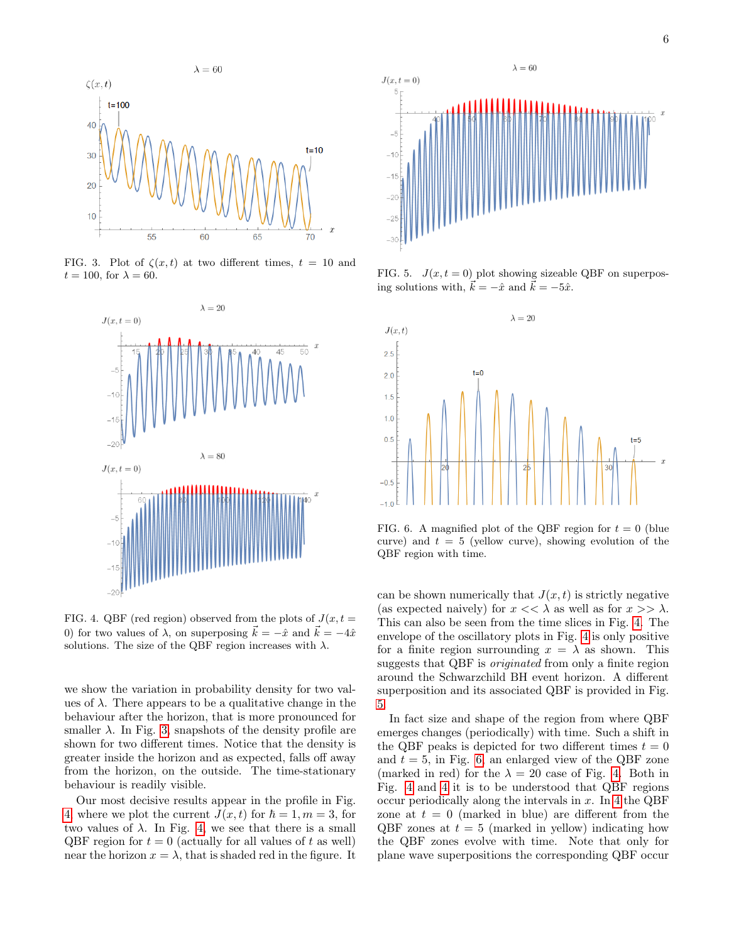

FIG. 3. Plot of  $\zeta(x,t)$  at two different times,  $t = 10$  and  $t = 100$ , for  $\lambda = 60$ .

<span id="page-5-0"></span>

<span id="page-5-1"></span>FIG. 4. QBF (red region) observed from the plots of  $J(x, t =$ 0) for two values of  $\lambda$ , on superposing  $\vec{k} = -\hat{x}$  and  $\vec{k} = -4\hat{x}$ solutions. The size of the QBF region increases with  $\lambda$ .

we show the variation in probability density for two values of  $\lambda$ . There appears to be a qualitative change in the behaviour after the horizon, that is more pronounced for smaller  $\lambda$ . In Fig. [3,](#page-5-0) snapshots of the density profile are shown for two different times. Notice that the density is greater inside the horizon and as expected, falls off away from the horizon, on the outside. The time-stationary behaviour is readily visible.

Our most decisive results appear in the profile in Fig. [4,](#page-5-1) where we plot the current  $J(x, t)$  for  $\hbar = 1, m = 3$ , for two values of  $\lambda$ . In Fig. [4,](#page-5-1) we see that there is a small QBF region for  $t = 0$  (actually for all values of t as well) near the horizon  $x = \lambda$ , that is shaded red in the figure. It



<span id="page-5-2"></span>FIG. 5.  $J(x, t = 0)$  plot showing sizeable QBF on superposing solutions with,  $\vec{k} = -\hat{x}$  and  $\vec{k} = -5\hat{x}$ .



<span id="page-5-3"></span>FIG. 6. A magnified plot of the QBF region for  $t = 0$  (blue curve) and  $t = 5$  (yellow curve), showing evolution of the QBF region with time.

can be shown numerically that  $J(x, t)$  is strictly negative (as expected naively) for  $x \ll \lambda$  as well as for  $x \gg \lambda$ . This can also be seen from the time slices in Fig. [4.](#page-5-1) The envelope of the oscillatory plots in Fig. [4](#page-5-1) is only positive for a finite region surrounding  $x = \lambda$  as shown. This suggests that QBF is originated from only a finite region around the Schwarzchild BH event horizon. A different superposition and its associated QBF is provided in Fig. [5.](#page-5-2)

In fact size and shape of the region from where QBF emerges changes (periodically) with time. Such a shift in the QBF peaks is depicted for two different times  $t = 0$ and  $t = 5$ , in Fig. [6,](#page-5-3) an enlarged view of the QBF zone (marked in red) for the  $\lambda = 20$  case of Fig. [4.](#page-5-1) Both in Fig. [4](#page-5-1) and [4](#page-5-1) it is to be understood that QBF regions occur periodically along the intervals in  $x$ . In [4](#page-5-1) the QBF zone at  $t = 0$  (marked in blue) are different from the QBF zones at  $t = 5$  (marked in yellow) indicating how the QBF zones evolve with time. Note that only for plane wave superpositions the corresponding QBF occur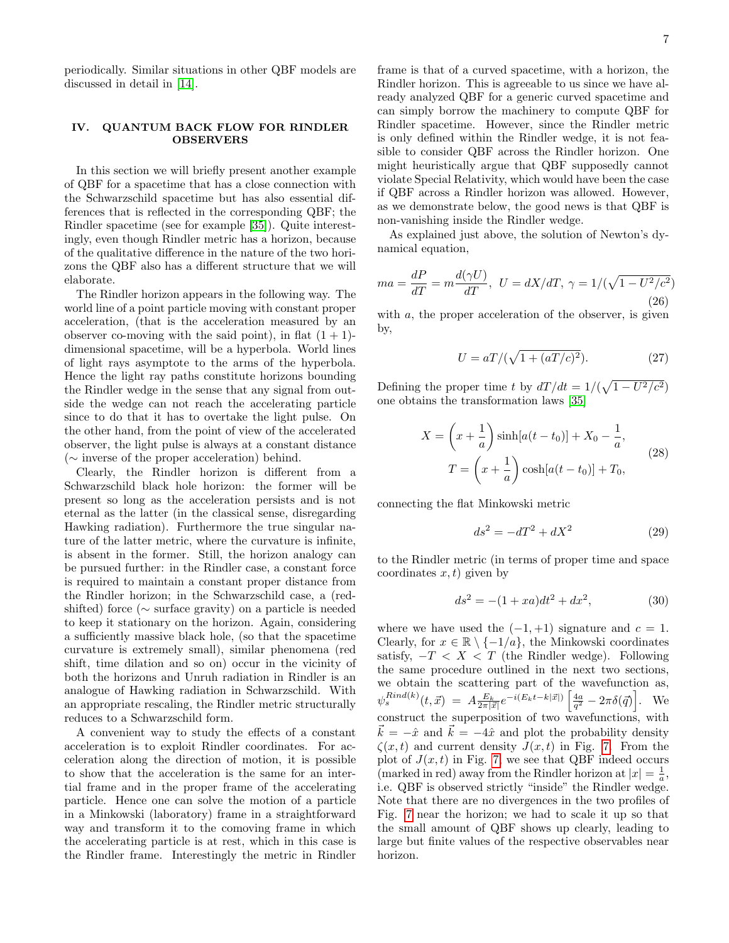periodically. Similar situations in other QBF models are discussed in detail in [\[14\]](#page-9-12).

#### <span id="page-6-0"></span>IV. QUANTUM BACK FLOW FOR RINDLER OBSERVERS

In this section we will briefly present another example of QBF for a spacetime that has a close connection with the Schwarzschild spacetime but has also essential differences that is reflected in the corresponding QBF; the Rindler spacetime (see for example [\[35\]](#page-9-32)). Quite interestingly, even though Rindler metric has a horizon, because of the qualitative difference in the nature of the two horizons the QBF also has a different structure that we will elaborate.

The Rindler horizon appears in the following way. The world line of a point particle moving with constant proper acceleration, (that is the acceleration measured by an observer co-moving with the said point), in flat  $(1 + 1)$ dimensional spacetime, will be a hyperbola. World lines of light rays asymptote to the arms of the hyperbola. Hence the light ray paths constitute horizons bounding the Rindler wedge in the sense that any signal from outside the wedge can not reach the accelerating particle since to do that it has to overtake the light pulse. On the other hand, from the point of view of the accelerated observer, the light pulse is always at a constant distance (∼ inverse of the proper acceleration) behind.

Clearly, the Rindler horizon is different from a Schwarzschild black hole horizon: the former will be present so long as the acceleration persists and is not eternal as the latter (in the classical sense, disregarding Hawking radiation). Furthermore the true singular nature of the latter metric, where the curvature is infinite, is absent in the former. Still, the horizon analogy can be pursued further: in the Rindler case, a constant force is required to maintain a constant proper distance from the Rindler horizon; in the Schwarzschild case, a (redshifted) force (∼ surface gravity) on a particle is needed to keep it stationary on the horizon. Again, considering a sufficiently massive black hole, (so that the spacetime curvature is extremely small), similar phenomena (red shift, time dilation and so on) occur in the vicinity of both the horizons and Unruh radiation in Rindler is an analogue of Hawking radiation in Schwarzschild. With an appropriate rescaling, the Rindler metric structurally reduces to a Schwarzschild form.

A convenient way to study the effects of a constant acceleration is to exploit Rindler coordinates. For acceleration along the direction of motion, it is possible to show that the acceleration is the same for an intertial frame and in the proper frame of the accelerating particle. Hence one can solve the motion of a particle in a Minkowski (laboratory) frame in a straightforward way and transform it to the comoving frame in which the accelerating particle is at rest, which in this case is the Rindler frame. Interestingly the metric in Rindler frame is that of a curved spacetime, with a horizon, the Rindler horizon. This is agreeable to us since we have already analyzed QBF for a generic curved spacetime and can simply borrow the machinery to compute QBF for Rindler spacetime. However, since the Rindler metric is only defined within the Rindler wedge, it is not feasible to consider QBF across the Rindler horizon. One might heuristically argue that QBF supposedly cannot violate Special Relativity, which would have been the case if QBF across a Rindler horizon was allowed. However, as we demonstrate below, the good news is that QBF is non-vanishing inside the Rindler wedge.

As explained just above, the solution of Newton's dynamical equation,

$$
ma = \frac{dP}{dT} = m\frac{d(\gamma U)}{dT}, \ U = dX/dT, \ \gamma = 1/(\sqrt{1 - U^2/c^2})
$$
\n
$$
(26)
$$

with  $a$ , the proper acceleration of the observer, is given by,

$$
U = aT/(\sqrt{1 + (aT/c)^2}).
$$
 (27)

Defining the proper time t by  $dT/dt = 1/(\sqrt{1 - U^2/c^2})$ one obtains the transformation laws [\[35\]](#page-9-32)

$$
X = \left(x + \frac{1}{a}\right) \sinh[a(t - t_0)] + X_0 - \frac{1}{a},
$$
  

$$
T = \left(x + \frac{1}{a}\right) \cosh[a(t - t_0)] + T_0,
$$
 (28)

connecting the flat Minkowski metric

$$
ds^2 = -dT^2 + dX^2\tag{29}
$$

to the Rindler metric (in terms of proper time and space coordinates  $x, t$ ) given by

$$
ds^2 = -(1 + xa)dt^2 + dx^2,
$$
 (30)

where we have used the  $(-1, +1)$  signature and  $c = 1$ . Clearly, for  $x \in \mathbb{R} \setminus \{-1/a\}$ , the Minkowski coordinates satisfy,  $-T < X < T$  (the Rindler wedge). Following the same procedure outlined in the next two sections, we obtain the scattering part of the wavefunction as,  $\psi_s^{Rind(k)}(t, \vec{x}) = A \frac{E_k}{2\pi |\vec{x}|} e^{-i(E_k t - k|\vec{x}|)} \left[ \frac{4a}{q^2} - 2\pi \delta(\vec{q}) \right]$ . We construct the superposition of two wavefunctions, with  $\vec{k} = -\hat{x}$  and  $\vec{k} = -4\hat{x}$  and plot the probability density  $\zeta(x,t)$  and current density  $J(x,t)$  in Fig. [7.](#page-7-0) From the plot of  $J(x, t)$  in Fig. [7,](#page-7-0) we see that QBF indeed occurs (marked in red) away from the Rindler horizon at  $|x| = \frac{1}{a}$ , i.e. QBF is observed strictly "inside" the Rindler wedge. Note that there are no divergences in the two profiles of Fig. [7](#page-7-0) near the horizon; we had to scale it up so that the small amount of QBF shows up clearly, leading to large but finite values of the respective observables near horizon.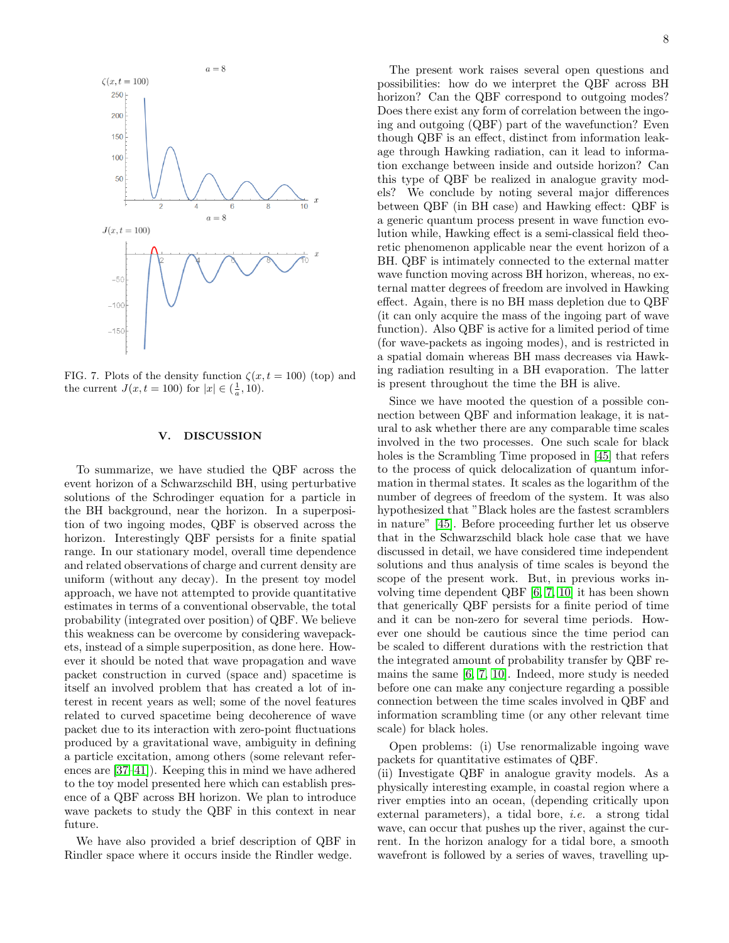

<span id="page-7-0"></span>FIG. 7. Plots of the density function  $\zeta(x,t=100)$  (top) and the current  $J(x, t = 100)$  for  $|x| \in (\frac{1}{a}, 10)$ .

#### V. DISCUSSION

To summarize, we have studied the QBF across the event horizon of a Schwarzschild BH, using perturbative solutions of the Schrodinger equation for a particle in the BH background, near the horizon. In a superposition of two ingoing modes, QBF is observed across the horizon. Interestingly QBF persists for a finite spatial range. In our stationary model, overall time dependence and related observations of charge and current density are uniform (without any decay). In the present toy model approach, we have not attempted to provide quantitative estimates in terms of a conventional observable, the total probability (integrated over position) of QBF. We believe this weakness can be overcome by considering wavepackets, instead of a simple superposition, as done here. However it should be noted that wave propagation and wave packet construction in curved (space and) spacetime is itself an involved problem that has created a lot of interest in recent years as well; some of the novel features related to curved spacetime being decoherence of wave packet due to its interaction with zero-point fluctuations produced by a gravitational wave, ambiguity in defining a particle excitation, among others (some relevant references are [\[37–](#page-9-34)[41\]](#page-9-35)). Keeping this in mind we have adhered to the toy model presented here which can establish presence of a QBF across BH horizon. We plan to introduce wave packets to study the QBF in this context in near future.

We have also provided a brief description of QBF in Rindler space where it occurs inside the Rindler wedge.

The present work raises several open questions and possibilities: how do we interpret the QBF across BH horizon? Can the QBF correspond to outgoing modes? Does there exist any form of correlation between the ingoing and outgoing (QBF) part of the wavefunction? Even though QBF is an effect, distinct from information leakage through Hawking radiation, can it lead to information exchange between inside and outside horizon? Can this type of QBF be realized in analogue gravity models? We conclude by noting several major differences between QBF (in BH case) and Hawking effect: QBF is a generic quantum process present in wave function evolution while, Hawking effect is a semi-classical field theoretic phenomenon applicable near the event horizon of a BH. QBF is intimately connected to the external matter wave function moving across BH horizon, whereas, no external matter degrees of freedom are involved in Hawking effect. Again, there is no BH mass depletion due to QBF (it can only acquire the mass of the ingoing part of wave function). Also QBF is active for a limited period of time (for wave-packets as ingoing modes), and is restricted in a spatial domain whereas BH mass decreases via Hawking radiation resulting in a BH evaporation. The latter is present throughout the time the BH is alive.

Since we have mooted the question of a possible connection between QBF and information leakage, it is natural to ask whether there are any comparable time scales involved in the two processes. One such scale for black holes is the Scrambling Time proposed in [\[45\]](#page-9-36) that refers to the process of quick delocalization of quantum information in thermal states. It scales as the logarithm of the number of degrees of freedom of the system. It was also hypothesized that "Black holes are the fastest scramblers in nature" [\[45\]](#page-9-36). Before proceeding further let us observe that in the Schwarzschild black hole case that we have discussed in detail, we have considered time independent solutions and thus analysis of time scales is beyond the scope of the present work. But, in previous works involving time dependent QBF [\[6,](#page-9-5) [7,](#page-9-6) [10\]](#page-9-9) it has been shown that generically QBF persists for a finite period of time and it can be non-zero for several time periods. However one should be cautious since the time period can be scaled to different durations with the restriction that the integrated amount of probability transfer by QBF remains the same [\[6,](#page-9-5) [7,](#page-9-6) [10\]](#page-9-9). Indeed, more study is needed before one can make any conjecture regarding a possible connection between the time scales involved in QBF and information scrambling time (or any other relevant time scale) for black holes.

Open problems: (i) Use renormalizable ingoing wave packets for quantitative estimates of QBF.

(ii) Investigate QBF in analogue gravity models. As a physically interesting example, in coastal region where a river empties into an ocean, (depending critically upon external parameters), a tidal bore, i.e. a strong tidal wave, can occur that pushes up the river, against the current. In the horizon analogy for a tidal bore, a smooth wavefront is followed by a series of waves, travelling up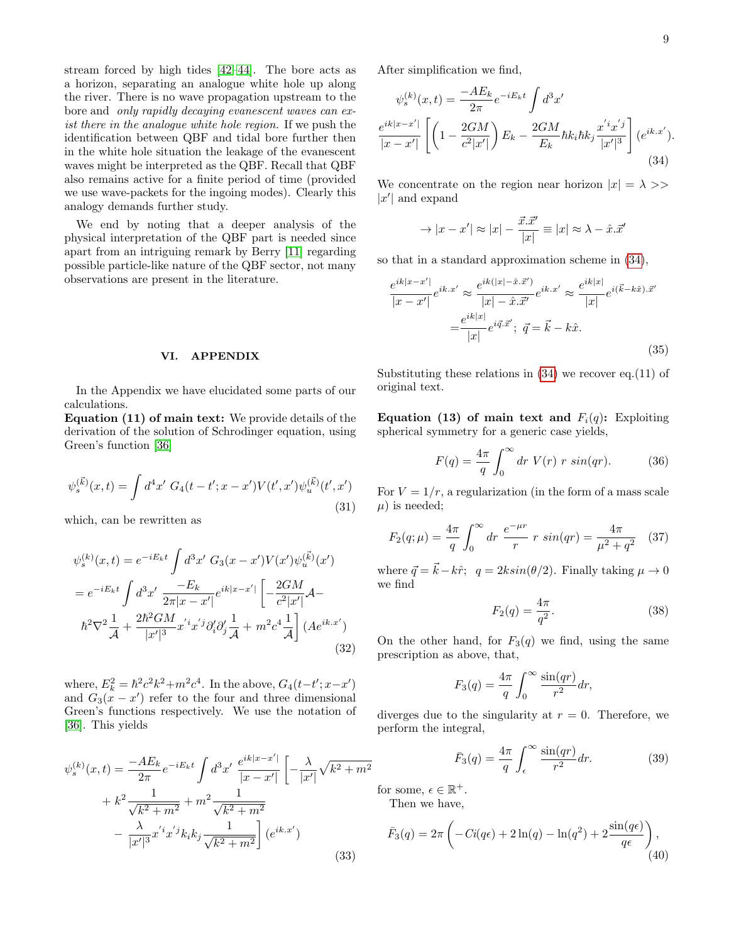stream forced by high tides [\[42–](#page-9-37)[44\]](#page-9-38). The bore acts as a horizon, separating an analogue white hole up along the river. There is no wave propagation upstream to the bore and only rapidly decaying evanescent waves can exist there in the analogue white hole region. If we push the identification between QBF and tidal bore further then in the white hole situation the leakage of the evanescent waves might be interpreted as the QBF. Recall that QBF also remains active for a finite period of time (provided we use wave-packets for the ingoing modes). Clearly this analogy demands further study.

We end by noting that a deeper analysis of the physical interpretation of the QBF part is needed since apart from an intriguing remark by Berry [\[11\]](#page-9-10) regarding possible particle-like nature of the QBF sector, not many observations are present in the literature.

### VI. APPENDIX

In the Appendix we have elucidated some parts of our calculations.

Equation (11) of main text: We provide details of the derivation of the solution of Schrodinger equation, using Green's function [\[36\]](#page-9-33)

$$
\psi_s^{(\vec{k})}(x,t) = \int d^4x' \ G_4(t-t';x-x')V(t',x')\psi_u^{(\vec{k})}(t',x')
$$
\n(31)

which, can be rewritten as

$$
\psi_s^{(k)}(x,t) = e^{-iE_k t} \int d^3 x' \ G_3(x-x') V(x') \psi_u^{(\vec{k})}(x')
$$
  
= 
$$
e^{-iE_k t} \int d^3 x' \frac{-E_k}{2\pi |x-x'|} e^{ik|x-x'|} \left[ -\frac{2GM}{c^2 |x'|} \mathcal{A} - \hbar^2 \nabla^2 \frac{1}{\mathcal{A}} + \frac{2\hbar^2 GM}{|x'|^3} x' \psi_d^{'} \partial_i' \partial_j' \frac{1}{\mathcal{A}} + m^2 c^4 \frac{1}{\mathcal{A}} \right] (A e^{ik.x'})
$$
(32)

where,  $E_k^2 = \hbar^2 c^2 k^2 + m^2 c^4$ . In the above,  $G_4(t-t';x-x')$ and  $G_3(x-x')$  refer to the four and three dimensional Green's functions respectively. We use the notation of [\[36\]](#page-9-33). This yields

$$
\psi_s^{(k)}(x,t) = \frac{-AE_k}{2\pi} e^{-iE_k t} \int d^3x' \frac{e^{ik|x-x'|}}{|x-x'|} \left[ -\frac{\lambda}{|x'|} \sqrt{k^2 + m^2} + k^2 \frac{1}{\sqrt{k^2 + m^2}} + m^2 \frac{1}{\sqrt{k^2 + m^2}} -\frac{\lambda}{|x'|^3} x^{'i} x^{'j} k_i k_j \frac{1}{\sqrt{k^2 + m^2}} \right] (e^{ik.x'})
$$
\n(33)

After simplification we find,

<span id="page-8-0"></span>
$$
\psi_s^{(k)}(x,t) = \frac{-AE_k}{2\pi} e^{-iE_k t} \int d^3 x'
$$

$$
\frac{e^{ik|x-x'|}}{|x-x'|} \left[ \left( 1 - \frac{2GM}{c^2|x'|} \right) E_k - \frac{2GM}{E_k} \hbar k_i \hbar k_j \frac{x' i x'^j}{|x'|^3} \right] (e^{ik.x'}).
$$
(34)

We concentrate on the region near horizon  $|x| = \lambda$  $|x'|$  and expand

$$
\rightarrow |x - x'| \approx |x| - \frac{\vec{x}.\vec{x}'}{|x|} \equiv |x| \approx \lambda - \hat{x}.\vec{x}'
$$

so that in a standard approximation scheme in [\(34\)](#page-8-0),

$$
\frac{e^{ik|x-x'|}}{|x-x'|}e^{ik.x'} \approx \frac{e^{ik(|x|-\hat{x}.\vec{x}')}}{|x|-\hat{x}.\vec{x}'}e^{ik.x'} \approx \frac{e^{ik|x|}}{|x|}e^{i(\vec{k}-k\hat{x}).\vec{x}'}
$$

$$
=\frac{e^{ik|x|}}{|x|}e^{i\vec{q}.\vec{x}'}; \ \vec{q}=\vec{k}-k\hat{x}.
$$
(35)

Substituting these relations in  $(34)$  we recover eq. $(11)$  of original text.

Equation (13) of main text and  $F_i(q)$ : Exploiting spherical symmetry for a generic case yields,

$$
F(q) = \frac{4\pi}{q} \int_0^\infty dr \ V(r) \ r \ sin(qr). \tag{36}
$$

For  $V = 1/r$ , a regularization (in the form of a mass scale  $\mu$ ) is needed;

$$
F_2(q; \mu) = \frac{4\pi}{q} \int_0^\infty dr \; \frac{e^{-\mu r}}{r} \; r \; \sin(qr) = \frac{4\pi}{\mu^2 + q^2} \quad (37)
$$

where  $\vec{q} = \vec{k} - k\hat{r}$ ;  $q = 2k\sin(\theta/2)$ . Finally taking  $\mu \to 0$ we find

$$
F_2(q) = \frac{4\pi}{q^2}.
$$
 (38)

On the other hand, for  $F_3(q)$  we find, using the same prescription as above, that,

$$
F_3(q) = \frac{4\pi}{q} \int_0^\infty \frac{\sin(qr)}{r^2} dr,
$$

diverges due to the singularity at  $r = 0$ . Therefore, we perform the integral,

$$
\bar{F}_3(q) = \frac{4\pi}{q} \int_{\epsilon}^{\infty} \frac{\sin(qr)}{r^2} dr.
$$
 (39)

for some,  $\epsilon \in \mathbb{R}^+$ . Then we have,

$$
\bar{F}_3(q) = 2\pi \left( -Ci(q\epsilon) + 2\ln(q) - \ln(q^2) + 2\frac{\sin(q\epsilon)}{q\epsilon} \right),\tag{40}
$$